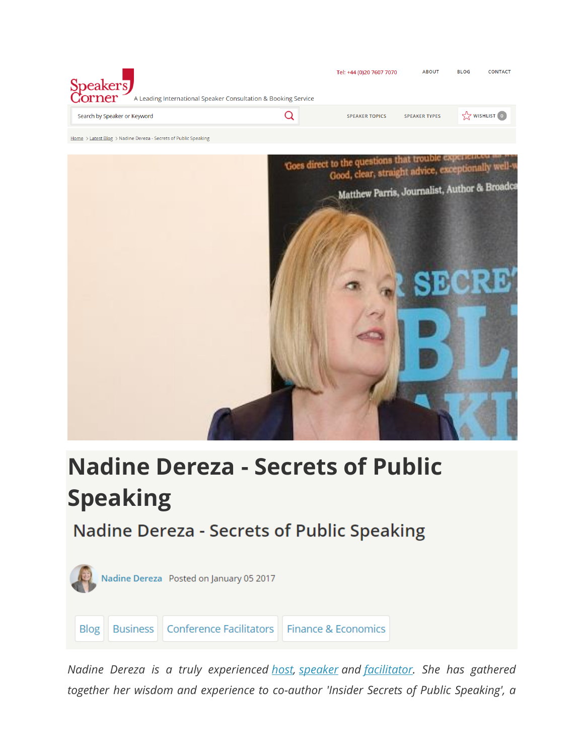



# **Nadine Dereza - Secrets of Public Speaking**

# **Nadine Dereza - Secrets of Public Speaking**



*Nadine Dereza is a truly experienced [host,](https://www.speakerscorner.co.uk/listing/awards-hosts-presenter) [speaker](https://www.speakerscorner.co.uk/listing/keynote-speakers) and [facilitator.](https://www.speakerscorner.co.uk/listing/conference-facilitators) She has gathered together her wisdom and experience to co-author 'Insider Secrets of Public Speaking', a*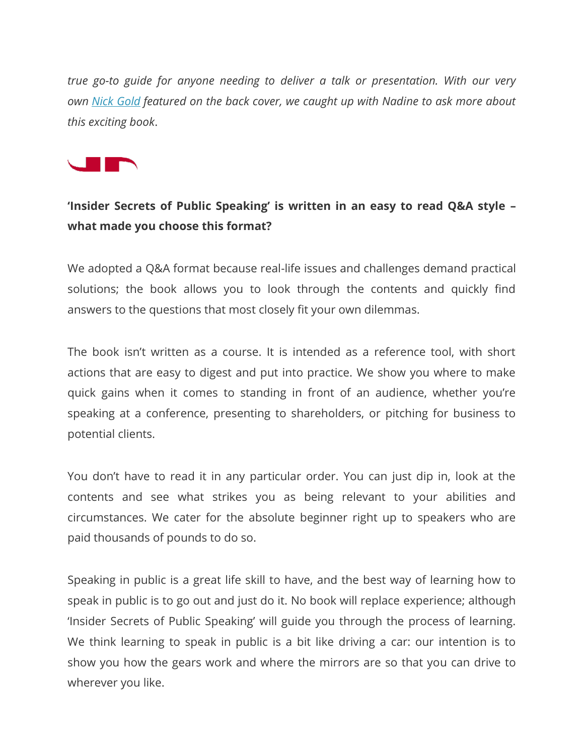*true go-to guide for anyone needing to deliver a talk or presentation. With our very own [Nick Gold](https://www.speakerscorner.co.uk/member/nick-gold) featured on the back cover, we caught up with Nadine to ask more about this exciting book*.



### **'Insider Secrets of Public Speaking' is written in an easy to read Q&A style – what made you choose this format?**

We adopted a Q&A format because real-life issues and challenges demand practical solutions; the book allows you to look through the contents and quickly find answers to the questions that most closely fit your own dilemmas.

The book isn't written as a course. It is intended as a reference tool, with short actions that are easy to digest and put into practice. We show you where to make quick gains when it comes to standing in front of an audience, whether you're speaking at a conference, presenting to shareholders, or pitching for business to potential clients.

You don't have to read it in any particular order. You can just dip in, look at the contents and see what strikes you as being relevant to your abilities and circumstances. We cater for the absolute beginner right up to speakers who are paid thousands of pounds to do so.

Speaking in public is a great life skill to have, and the best way of learning how to speak in public is to go out and just do it. No book will replace experience; although 'Insider Secrets of Public Speaking' will guide you through the process of learning. We think learning to speak in public is a bit like driving a car: our intention is to show you how the gears work and where the mirrors are so that you can drive to wherever you like.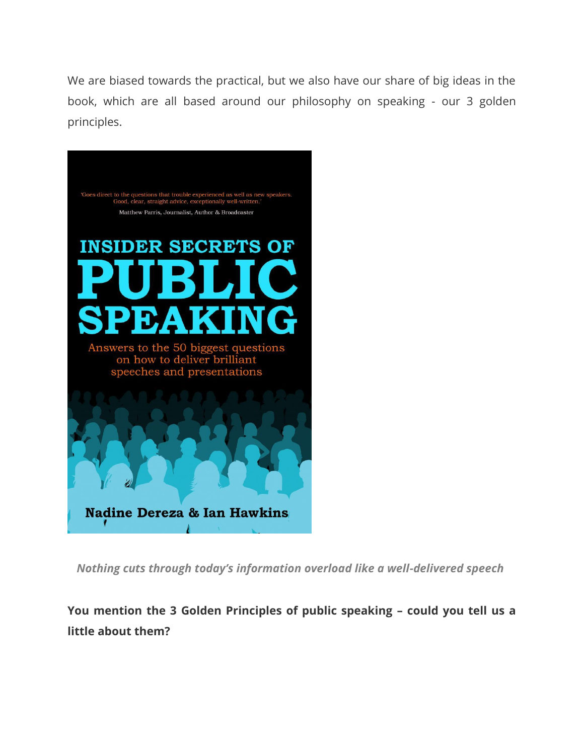We are biased towards the practical, but we also have our share of big ideas in the book, which are all based around our philosophy on speaking - our 3 golden principles.



*Nothing cuts through today's information overload like a well-delivered speech*

**You mention the 3 Golden Principles of public speaking – could you tell us a little about them?**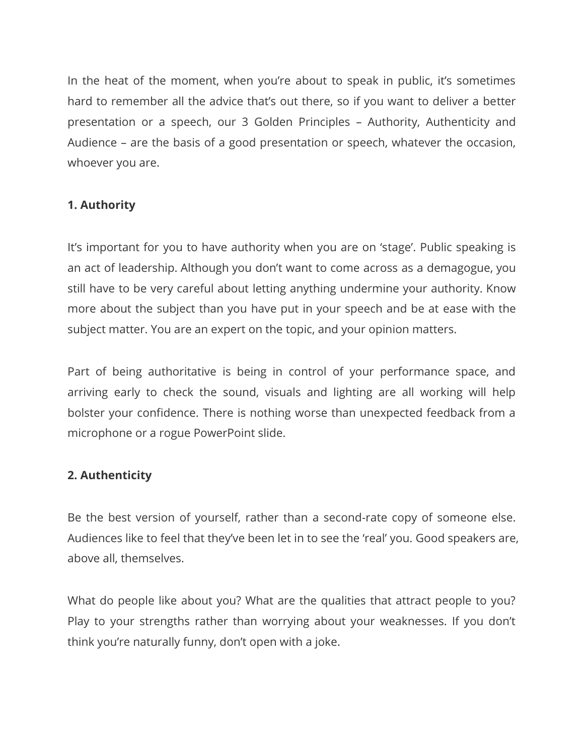In the heat of the moment, when you're about to speak in public, it's sometimes hard to remember all the advice that's out there, so if you want to deliver a better presentation or a speech, our 3 Golden Principles – Authority, Authenticity and Audience – are the basis of a good presentation or speech, whatever the occasion, whoever you are.

#### **1. Authority**

It's important for you to have authority when you are on 'stage'. Public speaking is an act of leadership. Although you don't want to come across as a demagogue, you still have to be very careful about letting anything undermine your authority. Know more about the subject than you have put in your speech and be at ease with the subject matter. You are an expert on the topic, and your opinion matters.

Part of being authoritative is being in control of your performance space, and arriving early to check the sound, visuals and lighting are all working will help bolster your confidence. There is nothing worse than unexpected feedback from a microphone or a rogue PowerPoint slide.

#### **2. Authenticity**

Be the best version of yourself, rather than a second-rate copy of someone else. Audiences like to feel that they've been let in to see the 'real' you. Good speakers are, above all, themselves.

What do people like about you? What are the qualities that attract people to you? Play to your strengths rather than worrying about your weaknesses. If you don't think you're naturally funny, don't open with a joke.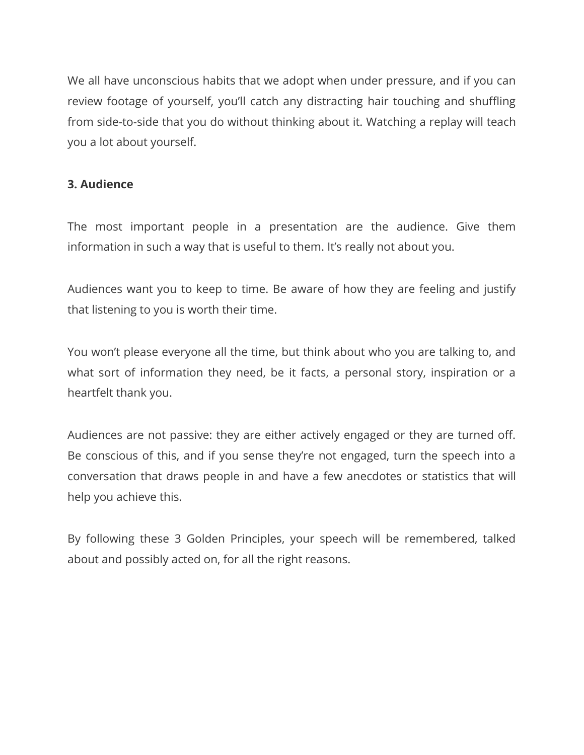We all have unconscious habits that we adopt when under pressure, and if you can review footage of yourself, you'll catch any distracting hair touching and shuffling from side-to-side that you do without thinking about it. Watching a replay will teach you a lot about yourself.

#### **3. Audience**

The most important people in a presentation are the audience. Give them information in such a way that is useful to them. It's really not about you.

Audiences want you to keep to time. Be aware of how they are feeling and justify that listening to you is worth their time.

You won't please everyone all the time, but think about who you are talking to, and what sort of information they need, be it facts, a personal story, inspiration or a heartfelt thank you.

Audiences are not passive: they are either actively engaged or they are turned off. Be conscious of this, and if you sense they're not engaged, turn the speech into a conversation that draws people in and have a few anecdotes or statistics that will help you achieve this.

By following these 3 Golden Principles, your speech will be remembered, talked about and possibly acted on, for all the right reasons.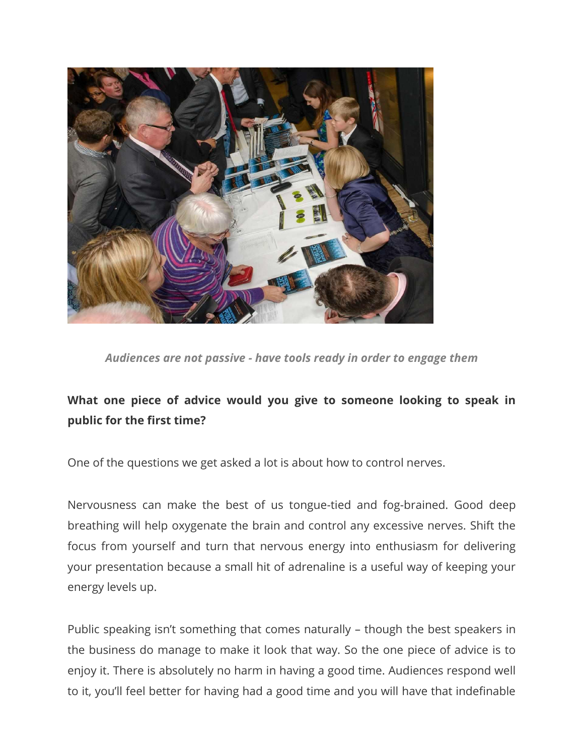

*Audiences are not passive - have tools ready in order to engage them*

## **What one piece of advice would you give to someone looking to speak in public for the first time?**

One of the questions we get asked a lot is about how to control nerves.

Nervousness can make the best of us tongue-tied and fog-brained. Good deep breathing will help oxygenate the brain and control any excessive nerves. Shift the focus from yourself and turn that nervous energy into enthusiasm for delivering your presentation because a small hit of adrenaline is a useful way of keeping your energy levels up.

Public speaking isn't something that comes naturally – though the best speakers in the business do manage to make it look that way. So the one piece of advice is to enjoy it. There is absolutely no harm in having a good time. Audiences respond well to it, you'll feel better for having had a good time and you will have that indefinable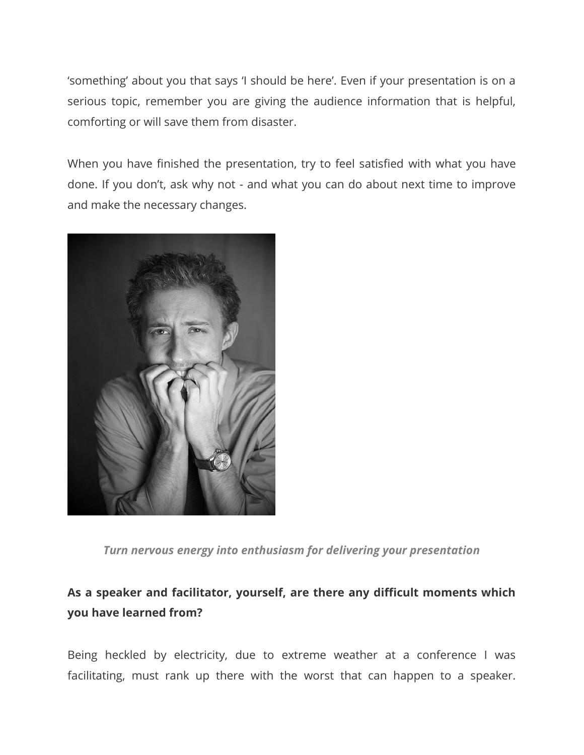'something' about you that says 'I should be here'. Even if your presentation is on a serious topic, remember you are giving the audience information that is helpful, comforting or will save them from disaster.

When you have finished the presentation, try to feel satisfied with what you have done. If you don't, ask why not - and what you can do about next time to improve and make the necessary changes.



*Turn nervous energy into enthusiasm for delivering your presentation*

# **As a speaker and facilitator, yourself, are there any difficult moments which you have learned from?**

Being heckled by electricity, due to extreme weather at a conference I was facilitating, must rank up there with the worst that can happen to a speaker.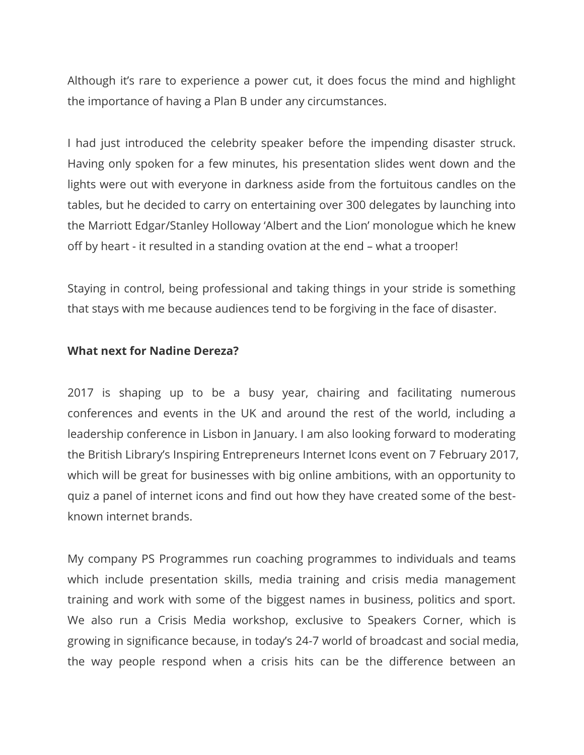Although it's rare to experience a power cut, it does focus the mind and highlight the importance of having a Plan B under any circumstances.

I had just introduced the celebrity speaker before the impending disaster struck. Having only spoken for a few minutes, his presentation slides went down and the lights were out with everyone in darkness aside from the fortuitous candles on the tables, but he decided to carry on entertaining over 300 delegates by launching into the Marriott Edgar/Stanley Holloway 'Albert and the Lion' monologue which he knew off by heart - it resulted in a standing ovation at the end – what a trooper!

Staying in control, being professional and taking things in your stride is something that stays with me because audiences tend to be forgiving in the face of disaster.

#### **What next for Nadine Dereza?**

2017 is shaping up to be a busy year, chairing and facilitating numerous conferences and events in the UK and around the rest of the world, including a leadership conference in Lisbon in January. I am also looking forward to moderating the British Library's Inspiring Entrepreneurs Internet Icons event on 7 February 2017, which will be great for businesses with big online ambitions, with an opportunity to quiz a panel of internet icons and find out how they have created some of the bestknown internet brands.

My company PS Programmes run coaching programmes to individuals and teams which include presentation skills, media training and crisis media management training and work with some of the biggest names in business, politics and sport. We also run a Crisis Media workshop, exclusive to Speakers Corner, which is growing in significance because, in today's 24-7 world of broadcast and social media, the way people respond when a crisis hits can be the difference between an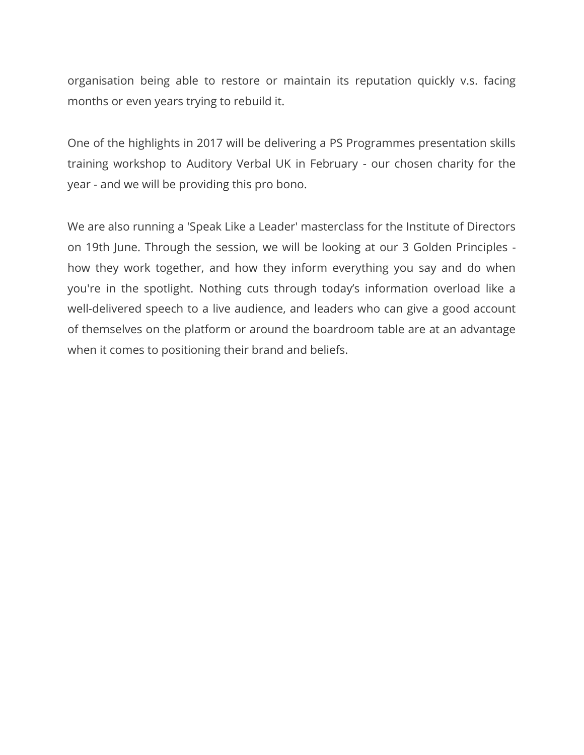organisation being able to restore or maintain its reputation quickly v.s. facing months or even years trying to rebuild it.

One of the highlights in 2017 will be delivering a PS Programmes presentation skills training workshop to Auditory Verbal UK in February - our chosen charity for the year - and we will be providing this pro bono.

We are also running a 'Speak Like a Leader' masterclass for the Institute of Directors on 19th June. Through the session, we will be looking at our 3 Golden Principles how they work together, and how they inform everything you say and do when you're in the spotlight. Nothing cuts through today's information overload like a well-delivered speech to a live audience, and leaders who can give a good account of themselves on the platform or around the boardroom table are at an advantage when it comes to positioning their brand and beliefs.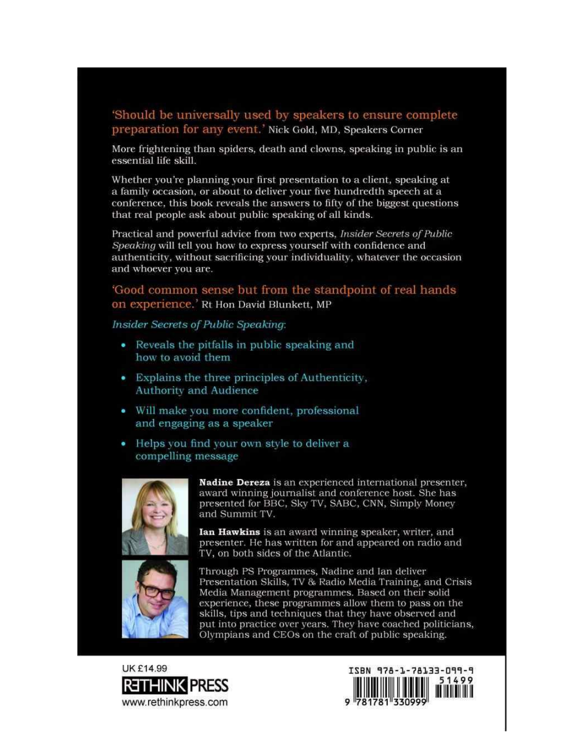#### 'Should be universally used by speakers to ensure complete preparation for any event.' Nick Gold, MD, Speakers Corner

More frightening than spiders, death and clowns, speaking in public is an essential life skill.

Whether you're planning your first presentation to a client, speaking at a family occasion, or about to deliver your five hundredth speech at a conference, this book reveals the answers to fifty of the biggest questions that real people ask about public speaking of all kinds.

Practical and powerful advice from two experts, *Insider Secrets of Public* Speaking will tell you how to express yourself with confidence and authenticity, without sacrificing your individuality, whatever the occasion and whoever you are.

'Good common sense but from the standpoint of real hands on experience.' Rt Hon David Blunkett, MP

Insider Secrets of Public Speaking:

- Reveals the pitfalls in public speaking and how to avoid them
- Explains the three principles of Authenticity, **Authority and Audience**
- · Will make you more confident, professional and engaging as a speaker

• Helps you find your own style to deliver a compelling message



Nadine Dereza is an experienced international presenter, award winning journalist and conference host. She has presented for BBC, Sky TV, SABC, CNN, Simply Money and Summit TV.

Ian Hawkins is an award winning speaker, writer, and presenter. He has written for and appeared on radio and TV, on both sides of the Atlantic.



Through PS Programmes, Nadine and Ian deliver Presentation Skills, TV & Radio Media Training, and Crisis Media Management programmes. Based on their solid experience, these programmes allow them to pass on the skills, tips and techniques that they have observed and put into practice over years. They have coached politicians, Olympians and CEOs on the craft of public speaking.